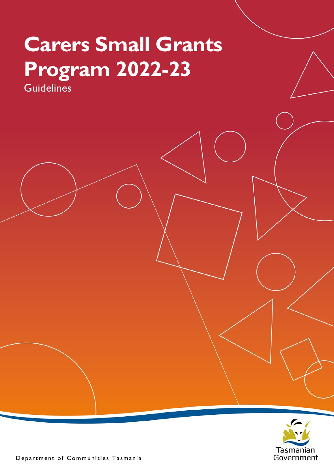# **Carers Small Grants Program 2022-23 Guidelines**



Department of Communities Tasmania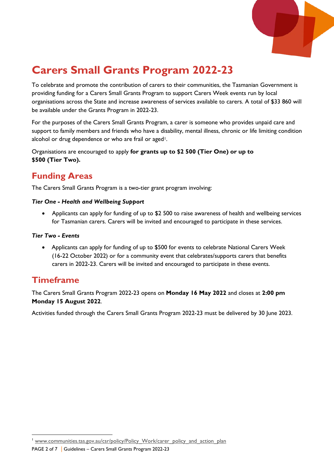

# **Carers Small Grants Program 2022-23**

To celebrate and promote the contribution of carers to their communities, the Tasmanian Government is providing funding for a Carers Small Grants Program to support Carers Week events run by local organisations across the State and increase awareness of services available to carers. A total of \$33 860 will be available under the Grants Program in 2022-23.

For the purposes of the Carers Small Grants Program, a carer is someone who provides unpaid care and support to family members and friends who have a disability, mental illness, chronic or life limiting condition alcohol or drug dependence or who are frail or aged<sup>1</sup>.

Organisations are encouraged to apply **for grants up to \$2 500 (Tier One) or up to \$500 (Tier Two).** 

# **Funding Areas**

The Carers Small Grants Program is a two-tier grant program involving:

#### *Tier One - Health and Wellbeing Support*

• Applicants can apply for funding of up to \$2 500 to raise awareness of health and wellbeing services for Tasmanian carers. Carers will be invited and encouraged to participate in these services.

#### *Tier Two - Events*

• Applicants can apply for funding of up to \$500 for events to celebrate National Carers Week (16-22 October 2022) or for a community event that celebrates/supports carers that benefits carers in 2022-23. Carers will be invited and encouraged to participate in these events.

# **Timeframe**

The Carers Small Grants Program 2022-23 opens on **Monday 16 May 2022** and closes at **2:00 pm Monday 15 August 2022**.

Activities funded through the Carers Small Grants Program 2022-23 must be delivered by 30 June 2023.

<span id="page-1-0"></span>PAGE 2 of 7 | Guidelines – Carers Small Grants Program 2022-23 www.communities.tas.gov.au/csr/policy/Policy\_Work/carer\_policy\_and\_action\_plan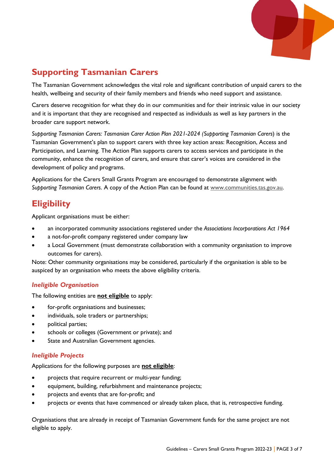

# **Supporting Tasmanian Carers**

The Tasmanian Government acknowledges the vital role and significant contribution of unpaid carers to the health, wellbeing and security of their family members and friends who need support and assistance.

Carers deserve recognition for what they do in our communities and for their intrinsic value in our society and it is important that they are recognised and respected as individuals as well as key partners in the broader care support network.

*Supporting Tasmanian Carers: Tasmanian Carer Action Plan 2021-2024 (Supporting Tasmanian Carers*) is the Tasmanian Government's plan to support carers with three key action areas: Recognition, Access and Participation, and Learning. The Action Plan supports carers to access services and participate in the community, enhance the recognition of carers, and ensure that carer's voices are considered in the development of policy and programs.

Applications for the Carers Small Grants Program are encouraged to demonstrate alignment with *Supporting Tasmanian Carers*. A copy of the Action Plan can be found at [www.communities.tas.gov.au.](http://www.communities.tas.gov.au/) 

# **Eligibility**

Applicant organisations must be either:

- an incorporated community associations registered under the *Associations Incorporations Act 1964*
- a not-for-profit company registered under company law
- a Local Government (must demonstrate collaboration with a community organisation to improve outcomes for carers).

Note: Other community organisations may be considered, particularly if the organisation is able to be auspiced by an organisation who meets the above eligibility criteria.

#### *Ineligible Organisation*

The following entities are **not eligible** to apply:

- for-profit organisations and businesses;
- individuals, sole traders or partnerships;
- political parties;
- schools or colleges (Government or private); and
- State and Australian Government agencies.

#### *Ineligible Projects*

Applications for the following purposes are **not eligible**:

- projects that require recurrent or multi-year funding;
- equipment, building, refurbishment and maintenance projects;
- projects and events that are for-profit; and
- projects or events that have commenced or already taken place, that is, retrospective funding.

Organisations that are already in receipt of Tasmanian Government funds for the same project are not eligible to apply.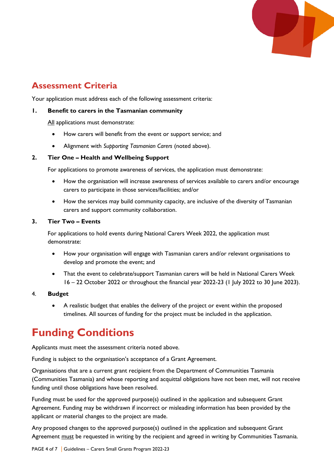

# **Assessment Criteria**

Your application must address each of the following assessment criteria:

#### **1. Benefit to carers in the Tasmanian community**

All applications must demonstrate:

- How carers will benefit from the event or support service; and
- Alignment with *Supporting Tasmanian Carers* (noted above).

#### **2. Tier One – Health and Wellbeing Support**

For applications to promote awareness of services, the application must demonstrate:

- How the organisation will increase awareness of services available to carers and/or encourage carers to participate in those services/facilities; and/or
- How the services may build community capacity, are inclusive of the diversity of Tasmanian carers and support community collaboration.

#### **3. Tier Two – Events**

For applications to hold events during National Carers Week 2022, the application must demonstrate:

- How your organisation will engage with Tasmanian carers and/or relevant organisations to develop and promote the event; and
- That the event to celebrate/support Tasmanian carers will be held in National Carers Week 16 – 22 October 2022 or throughout the financial year 2022-23 (1 July 2022 to 30 June 2023).

#### 4. **Budget**

• A realistic budget that enables the delivery of the project or event within the proposed timelines. All sources of funding for the project must be included in the application.

# **Funding Conditions**

Applicants must meet the assessment criteria noted above.

Funding is subject to the organisation's acceptance of a Grant Agreement.

Organisations that are a current grant recipient from the Department of Communities Tasmania (Communities Tasmania) and whose reporting and acquittal obligations have not been met, will not receive funding until those obligations have been resolved.

Funding must be used for the approved purpose(s) outlined in the application and subsequent Grant Agreement. Funding may be withdrawn if incorrect or misleading information has been provided by the applicant or material changes to the project are made.

Any proposed changes to the approved purpose(s) outlined in the application and subsequent Grant Agreement must be requested in writing by the recipient and agreed in writing by Communities Tasmania.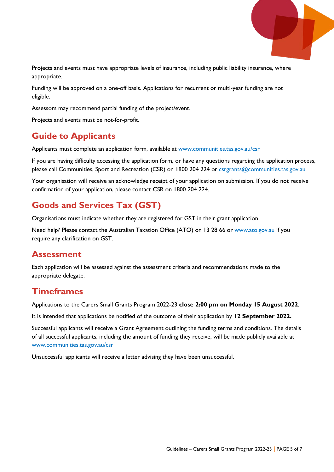

Projects and events must have appropriate levels of insurance, including public liability insurance, where appropriate.

Funding will be approved on a one-off basis. Applications for recurrent or multi-year funding are not eligible.

Assessors may recommend partial funding of the project/event.

Projects and events must be not-for-profit.

# **Guide to Applicants**

Applicants must complete an application form, available at [www.communities.tas.gov.au/csr](http://www.communities.tas.gov.au/csr)

If you are having difficulty accessing the application form, or have any questions regarding the application process, please call Communities, Sport and Recreation (CSR) on 1800 204 224 or [csrgrants@communities.tas.gov.au](mailto:csrgrants@communities.tas.gov.au)

Your organisation will receive an acknowledge receipt of your application on submission. If you do not receive confirmation of your application, please contact CSR on 1800 204 224.

# **Goods and Services Tax (GST)**

Organisations must indicate whether they are registered for GST in their grant application.

Need help? Please contact the Australian Taxation Office (ATO) on 13 28 66 or [www.ato.gov.au](http://www.ato.gov.au/) if you require any clarification on GST.

### **Assessment**

Each application will be assessed against the assessment criteria and recommendations made to the appropriate delegate.

### **Timeframes**

Applications to the Carers Small Grants Program 2022-23 **close 2:00 pm on Monday 15 August 2022**.

It is intended that applications be notified of the outcome of their application by **12 September 2022.**

Successful applicants will receive a Grant Agreement outlining the funding terms and conditions. The details of all successful applicants, including the amount of funding they receive, will be made publicly available at [www.communities.tas.gov.au/csr](http://www.communities.tas.gov.au/csr)

Unsuccessful applicants will receive a letter advising they have been unsuccessful.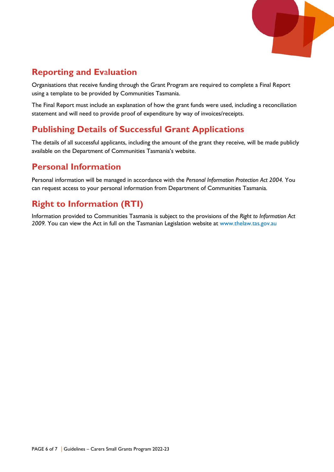

# **Reporting and Ev**a**luation**

Organisations that receive funding through the Grant Program are required to complete a Final Report using a template to be provided by Communities Tasmania.

The Final Report must include an explanation of how the grant funds were used, including a reconciliation statement and will need to provide proof of expenditure by way of invoices/receipts.

# **Publishing Details of Successful Grant Applications**

The details of all successful applicants, including the amount of the grant they receive, will be made publicly available on the Department of Communities Tasmania's website.

# **Personal Information**

Personal information will be managed in accordance with the *Personal Information Protection Act 2004.* You can request access to your personal information from Department of Communities Tasmania.

# **Right to Information (RTI)**

Information provided to Communities Tasmania is subject to the provisions of the *Right to Information Act 2009.* You can view the Act in full on the Tasmanian Legislation website at [www.thelaw.tas.gov.au](http://www.thelaw.tas.gov.au/)